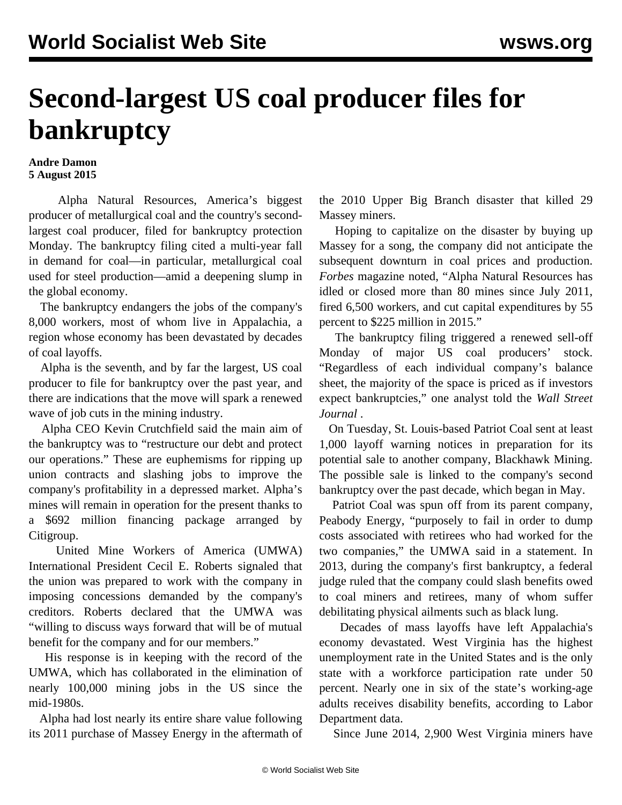## **Second-largest US coal producer files for bankruptcy**

## **Andre Damon 5 August 2015**

 Alpha Natural Resources, America's biggest producer of metallurgical coal and the country's secondlargest coal producer, filed for bankruptcy protection Monday. The bankruptcy filing cited a multi-year fall in demand for coal—in particular, metallurgical coal used for steel production—amid a deepening slump in the global economy.

 The bankruptcy endangers the jobs of the company's 8,000 workers, most of whom live in Appalachia, a region whose economy has been devastated by decades of coal layoffs.

 Alpha is the seventh, and by far the largest, US coal producer to file for bankruptcy over the past year, and there are indications that the move will spark a renewed wave of job cuts in the mining industry.

 Alpha CEO Kevin Crutchfield said the main aim of the bankruptcy was to "restructure our debt and protect our operations." These are euphemisms for ripping up union contracts and slashing jobs to improve the company's profitability in a depressed market. Alpha's mines will remain in operation for the present thanks to a \$692 million financing package arranged by Citigroup.

 United Mine Workers of America (UMWA) International President Cecil E. Roberts signaled that the union was prepared to work with the company in imposing concessions demanded by the company's creditors. Roberts declared that the UMWA was "willing to discuss ways forward that will be of mutual benefit for the company and for our members."

 His response is in keeping with the record of the UMWA, which has collaborated in the elimination of nearly 100,000 mining jobs in the US since the mid-1980s.

 Alpha had lost nearly its entire share value following its 2011 purchase of Massey Energy in the aftermath of the 2010 Upper Big Branch disaster that killed 29 Massey miners.

 Hoping to capitalize on the disaster by buying up Massey for a song, the company did not anticipate the subsequent downturn in coal prices and production. *Forbes* magazine noted, "Alpha Natural Resources has idled or closed more than 80 mines since July 2011, fired 6,500 workers, and cut capital expenditures by 55 percent to \$225 million in 2015."

 The bankruptcy filing triggered a renewed sell-off Monday of major US coal producers' stock. "Regardless of each individual company's balance sheet, the majority of the space is priced as if investors expect bankruptcies," one analyst told the *Wall Street Journal* .

 On Tuesday, St. Louis-based Patriot Coal sent at least 1,000 layoff warning notices in preparation for its potential sale to another company, Blackhawk Mining. The possible sale is linked to the company's second bankruptcy over the past decade, which began in May.

 Patriot Coal was spun off from its parent company, Peabody Energy, "purposely to fail in order to dump costs associated with retirees who had worked for the two companies," the UMWA said in a statement. In 2013, during the company's first bankruptcy, a federal judge ruled that the company could slash benefits owed to coal miners and retirees, many of whom suffer debilitating physical ailments such as black lung.

 Decades of mass layoffs have left Appalachia's economy devastated. West Virginia has the highest unemployment rate in the United States and is the only state with a workforce participation rate under 50 percent. Nearly one in six of the state's working-age adults receives disability benefits, according to Labor Department data.

Since June 2014, 2,900 West Virginia miners have